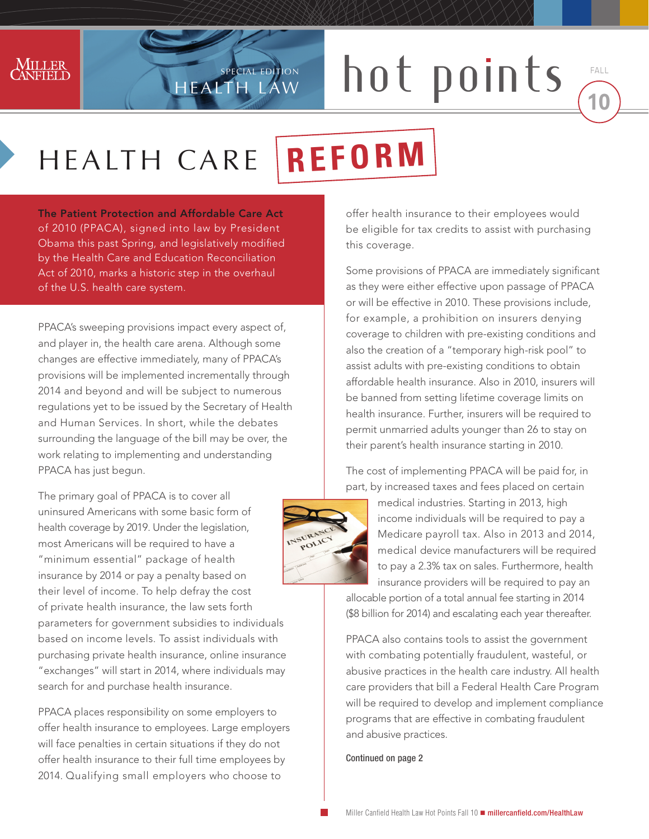

## SPECIAL EDITION **DOU** PO not points made

Fall

## HEALTH CARE **REFORM**

HEALTH LAW

Special Edition

The Patient Protection and Affordable Care Act of 2010 (PPACA), signed into law by President Obama this past Spring, and legislatively modified by the Health Care and Education Reconciliation Act of 2010, marks a historic step in the overhaul of the U.S. health care system.

PPACA's sweeping provisions impact every aspect of, and player in, the health care arena. Although some changes are effective immediately, many of PPACA's provisions will be implemented incrementally through 2014 and beyond and will be subject to numerous regulations yet to be issued by the Secretary of Health and Human Services. In short, while the debates surrounding the language of the bill may be over, the work relating to implementing and understanding PPACA has just begun.

The primary goal of PPACA is to cover all uninsured Americans with some basic form of health coverage by 2019. Under the legislation, most Americans will be required to have a "minimum essential" package of health insurance by 2014 or pay a penalty based on their level of income. To help defray the cost of private health insurance, the law sets forth parameters for government subsidies to individuals based on income levels. To assist individuals with purchasing private health insurance, online insurance "exchanges" will start in 2014, where individuals may search for and purchase health insurance.

PPACA places responsibility on some employers to offer health insurance to employees. Large employers will face penalties in certain situations if they do not offer health insurance to their full time employees by 2014. Qualifying small employers who choose to

offer health insurance to their employees would be eligible for tax credits to assist with purchasing this coverage.

Some provisions of PPACA are immediately significant as they were either effective upon passage of PPACA or will be effective in 2010. These provisions include, for example, a prohibition on insurers denying coverage to children with pre-existing conditions and also the creation of a "temporary high-risk pool" to assist adults with pre-existing conditions to obtain affordable health insurance. Also in 2010, insurers will be banned from setting lifetime coverage limits on health insurance. Further, insurers will be required to permit unmarried adults younger than 26 to stay on their parent's health insurance starting in 2010.

The cost of implementing PPACA will be paid for, in part, by increased taxes and fees placed on certain



medical industries. Starting in 2013, high income individuals will be required to pay a Medicare payroll tax. Also in 2013 and 2014, medical device manufacturers will be required to pay a 2.3% tax on sales. Furthermore, health insurance providers will be required to pay an

allocable portion of a total annual fee starting in 2014 (\$8 billion for 2014) and escalating each year thereafter.

PPACA also contains tools to assist the government with combating potentially fraudulent, wasteful, or abusive practices in the health care industry. All health care providers that bill a Federal Health Care Program will be required to develop and implement compliance programs that are effective in combating fraudulent and abusive practices.

Continued on page 2